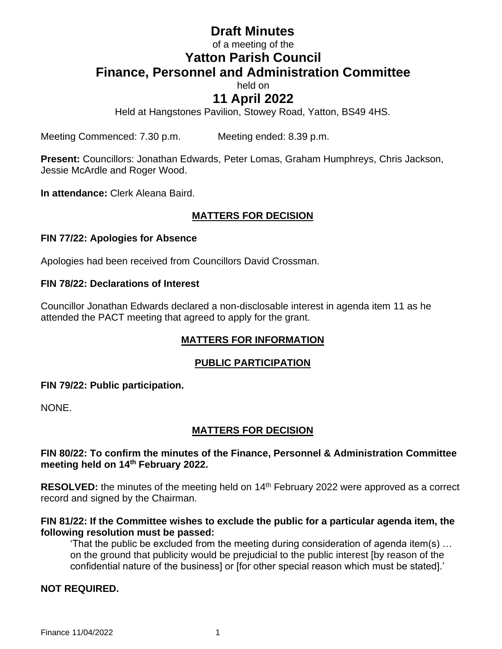# **Draft Minutes**

## of a meeting of the **Yatton Parish Council Finance, Personnel and Administration Committee**

held on

## **11 April 2022**

Held at Hangstones Pavilion, Stowey Road, Yatton, BS49 4HS.

Meeting Commenced: 7.30 p.m. Meeting ended: 8.39 p.m.

**Present:** Councillors: Jonathan Edwards, Peter Lomas, Graham Humphreys, Chris Jackson, Jessie McArdle and Roger Wood.

**In attendance:** Clerk Aleana Baird.

## **MATTERS FOR DECISION**

#### **FIN 77/22: Apologies for Absence**

Apologies had been received from Councillors David Crossman.

#### **FIN 78/22: Declarations of Interest**

Councillor Jonathan Edwards declared a non-disclosable interest in agenda item 11 as he attended the PACT meeting that agreed to apply for the grant.

## **MATTERS FOR INFORMATION**

#### **PUBLIC PARTICIPATION**

#### **FIN 79/22: Public participation.**

NONE.

## **MATTERS FOR DECISION**

#### **FIN 80/22: To confirm the minutes of the Finance, Personnel & Administration Committee meeting held on 14 th February 2022.**

RESOLVED: the minutes of the meeting held on 14<sup>th</sup> February 2022 were approved as a correct record and signed by the Chairman.

#### **FIN 81/22: If the Committee wishes to exclude the public for a particular agenda item, the following resolution must be passed:**

'That the public be excluded from the meeting during consideration of agenda item(s) … on the ground that publicity would be prejudicial to the public interest [by reason of the confidential nature of the business] or [for other special reason which must be stated].'

#### **NOT REQUIRED.**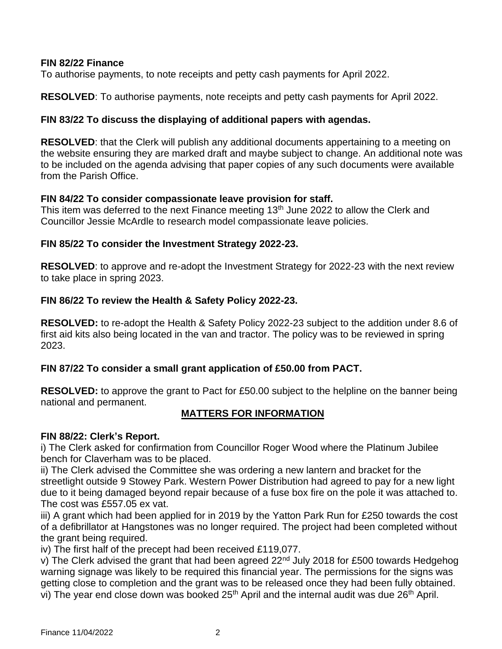#### **FIN 82/22 Finance**

To authorise payments, to note receipts and petty cash payments for April 2022.

**RESOLVED**: To authorise payments, note receipts and petty cash payments for April 2022.

#### **FIN 83/22 To discuss the displaying of additional papers with agendas.**

**RESOLVED:** that the Clerk will publish any additional documents appertaining to a meeting on the website ensuring they are marked draft and maybe subject to change. An additional note was to be included on the agenda advising that paper copies of any such documents were available from the Parish Office.

#### **FIN 84/22 To consider compassionate leave provision for staff.**

This item was deferred to the next Finance meeting 13<sup>th</sup> June 2022 to allow the Clerk and Councillor Jessie McArdle to research model compassionate leave policies.

#### **FIN 85/22 To consider the Investment Strategy 2022-23.**

**RESOLVED**: to approve and re-adopt the Investment Strategy for 2022-23 with the next review to take place in spring 2023.

#### **FIN 86/22 To review the Health & Safety Policy 2022-23.**

**RESOLVED:** to re-adopt the Health & Safety Policy 2022-23 subject to the addition under 8.6 of first aid kits also being located in the van and tractor. The policy was to be reviewed in spring 2023.

## **FIN 87/22 To consider a small grant application of £50.00 from PACT.**

**RESOLVED:** to approve the grant to Pact for £50.00 subject to the helpline on the banner being national and permanent.

## **MATTERS FOR INFORMATION**

#### **FIN 88/22: Clerk's Report.**

i) The Clerk asked for confirmation from Councillor Roger Wood where the Platinum Jubilee bench for Claverham was to be placed.

ii) The Clerk advised the Committee she was ordering a new lantern and bracket for the streetlight outside 9 Stowey Park. Western Power Distribution had agreed to pay for a new light due to it being damaged beyond repair because of a fuse box fire on the pole it was attached to. The cost was £557.05 ex vat.

iii) A grant which had been applied for in 2019 by the Yatton Park Run for £250 towards the cost of a defibrillator at Hangstones was no longer required. The project had been completed without the grant being required.

iv) The first half of the precept had been received £119,077.

v) The Clerk advised the grant that had been agreed  $22<sup>nd</sup>$  July 2018 for £500 towards Hedgehog warning signage was likely to be required this financial year. The permissions for the signs was getting close to completion and the grant was to be released once they had been fully obtained. vi) The year end close down was booked 25<sup>th</sup> April and the internal audit was due 26<sup>th</sup> April.